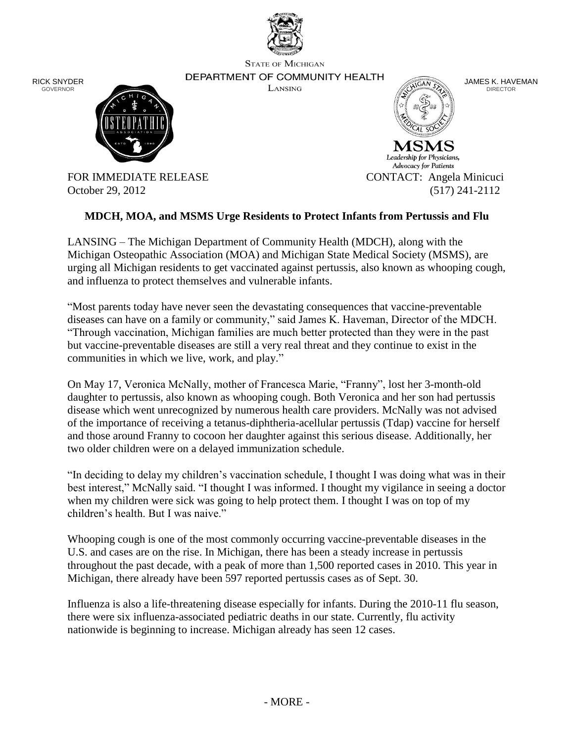

**STATE OF MICHIGAN** 

RICK SNYDER GOVERNOR

DEPARTMENT OF COMMUNITY HEALTH LANSING



Leadership for Physicians, Advocacy for Patients FOR IMMEDIATE RELEASE CONTACT: Angela Minicuci

JAMES K. HAVEMAN DIRECTOR



October 29, 2012 (517) 241-2112

## **MDCH, MOA, and MSMS Urge Residents to Protect Infants from Pertussis and Flu**

LANSING – The Michigan Department of Community Health (MDCH), along with the Michigan Osteopathic Association (MOA) and Michigan State Medical Society (MSMS), are urging all Michigan residents to get vaccinated against pertussis, also known as whooping cough, and influenza to protect themselves and vulnerable infants.

"Most parents today have never seen the devastating consequences that vaccine-preventable diseases can have on a family or community," said James K. Haveman, Director of the MDCH. "Through vaccination, Michigan families are much better protected than they were in the past but vaccine-preventable diseases are still a very real threat and they continue to exist in the communities in which we live, work, and play."

On May 17, Veronica McNally, mother of Francesca Marie, "Franny", lost her 3-month-old daughter to pertussis, also known as whooping cough. Both Veronica and her son had pertussis disease which went unrecognized by numerous health care providers. McNally was not advised of the importance of receiving a tetanus-diphtheria-acellular pertussis (Tdap) vaccine for herself and those around Franny to cocoon her daughter against this serious disease. Additionally, her two older children were on a delayed immunization schedule.

"In deciding to delay my children's vaccination schedule, I thought I was doing what was in their best interest," McNally said. "I thought I was informed. I thought my vigilance in seeing a doctor when my children were sick was going to help protect them. I thought I was on top of my children's health. But I was naive."

Whooping cough is one of the most commonly occurring vaccine-preventable diseases in the U.S. and cases are on the rise. In Michigan, there has been a steady increase in pertussis throughout the past decade, with a peak of more than 1,500 reported cases in 2010. This year in Michigan, there already have been 597 reported pertussis cases as of Sept. 30.

Influenza is also a life-threatening disease especially for infants. During the 2010-11 flu season, there were six influenza-associated pediatric deaths in our state. Currently, flu activity nationwide is beginning to increase. Michigan already has seen 12 cases.